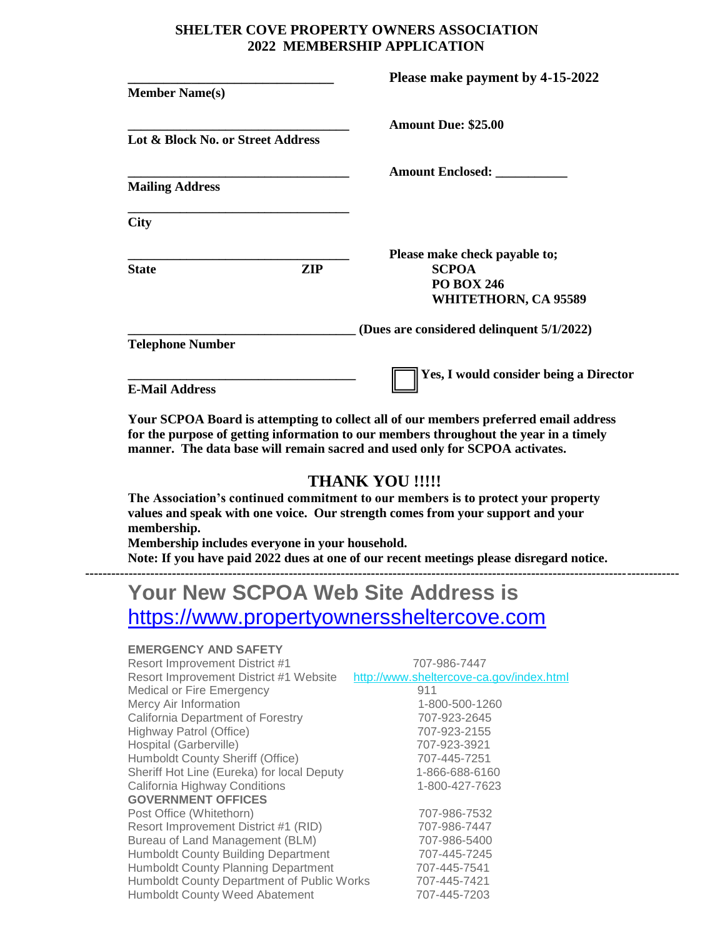### **SHELTER COVE PROPERTY OWNERS ASSOCIATION 2022 MEMBERSHIP APPLICATION**

|                                   |            | Please make payment by 4-15-2022          |
|-----------------------------------|------------|-------------------------------------------|
| <b>Member Name(s)</b>             |            |                                           |
|                                   |            | <b>Amount Due: \$25.00</b>                |
| Lot & Block No. or Street Address |            |                                           |
|                                   |            |                                           |
| <b>Mailing Address</b>            |            |                                           |
| <b>City</b>                       |            |                                           |
|                                   |            | Please make check payable to;             |
| <b>State</b>                      | <b>ZIP</b> | <b>SCPOA</b>                              |
|                                   |            | <b>PO BOX 246</b>                         |
|                                   |            | WHITETHORN, CA 95589                      |
|                                   |            | (Dues are considered delinquent 5/1/2022) |
| <b>Telephone Number</b>           |            |                                           |
|                                   |            | Yes, I would consider being a Director    |
| <b>E-Mail Address</b>             |            |                                           |

**Your SCPOA Board is attempting to collect all of our members preferred email address for the purpose of getting information to our members throughout the year in a timely manner. The data base will remain sacred and used only for SCPOA activates.**

# **THANK YOU !!!!!**

**The Association's continued commitment to our members is to protect your property values and speak with one voice. Our strength comes from your support and your membership.**

**Membership includes everyone in your household. Note: If you have paid 2022 dues at one of our recent meetings please disregard notice. -----------------------------------------------------------------------------------------------------------------------------------------**

# **Your New SCPOA Web Site Address is**  [https://www.propertyownerssheltercove.com](https://www.propertyownerssheltercove.com/)

#### **EMERGENCY AND SAFETY**

| <b>Resort Improvement District #1</b>      | 707-986-7447                             |
|--------------------------------------------|------------------------------------------|
| Resort Improvement District #1 Website     | http://www.sheltercove-ca.gov/index.html |
| Medical or Fire Emergency                  | 911                                      |
| Mercy Air Information                      | 1-800-500-1260                           |
| California Department of Forestry          | 707-923-2645                             |
| Highway Patrol (Office)                    | 707-923-2155                             |
| Hospital (Garberville)                     | 707-923-3921                             |
| Humboldt County Sheriff (Office)           | 707-445-7251                             |
| Sheriff Hot Line (Eureka) for local Deputy | 1-866-688-6160                           |
| California Highway Conditions              | 1-800-427-7623                           |
| <b>GOVERNMENT OFFICES</b>                  |                                          |
| Post Office (Whitethorn)                   | 707-986-7532                             |
| Resort Improvement District #1 (RID)       | 707-986-7447                             |
| Bureau of Land Management (BLM)            | 707-986-5400                             |
| <b>Humboldt County Building Department</b> | 707-445-7245                             |
| <b>Humboldt County Planning Department</b> | 707-445-7541                             |
| Humboldt County Department of Public Works | 707-445-7421                             |
| <b>Humboldt County Weed Abatement</b>      | 707-445-7203                             |